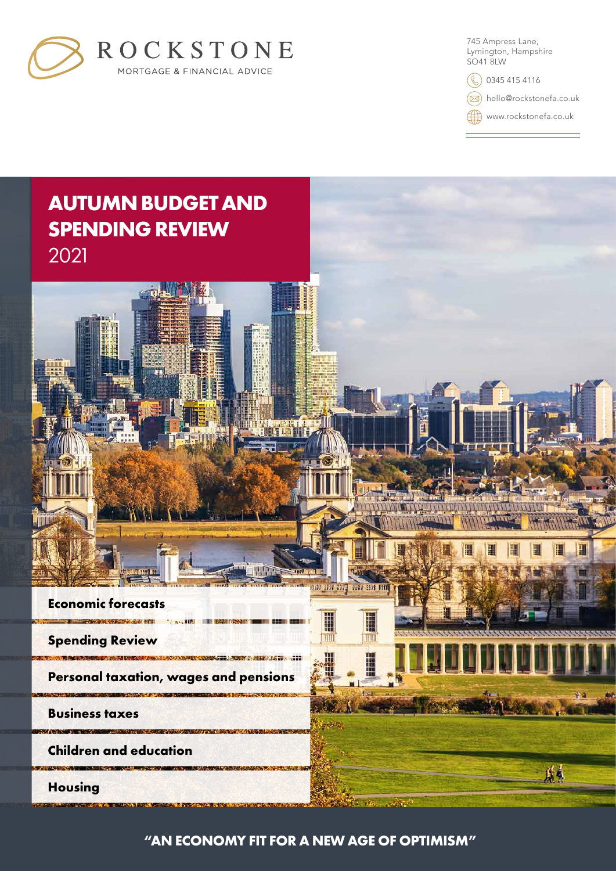

745 Ampress Lane, Lymington, Hampshire SO41 8LW

**(C)** 0345 415 4116

hello@rockstonefa.co.uk

www.rockstonefa.co.uk



**"AN ECONOMY FIT FOR A NEW AGE OF OPTIMISM"**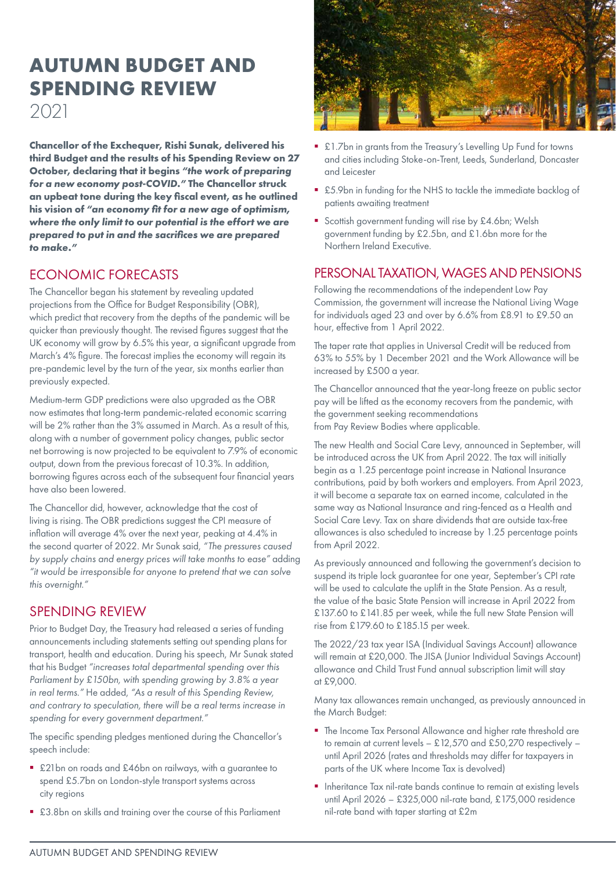# **AUTUMN BUDGET AND SPENDING REVIEW** 2021

**Chancellor of the Exchequer, Rishi Sunak, delivered his third Budget and the results of his Spending Review on 27 October, declaring that it begins** *"the work of preparing for a new economy post-COVID."* **The Chancellor struck an upbeat tone during the key fiscal event, as he outlined his vision of** *"an economy fit for a new age of optimism, where the only limit to our potential is the effort we are prepared to put in and the sacrifices we are prepared to make."*

# ECONOMIC FORECASTS

The Chancellor began his statement by revealing updated projections from the Office for Budget Responsibility (OBR), which predict that recovery from the depths of the pandemic will be quicker than previously thought. The revised figures suggest that the UK economy will grow by 6.5% this year, a significant upgrade from March's 4% figure. The forecast implies the economy will regain its pre-pandemic level by the turn of the year, six months earlier than previously expected.

Medium-term GDP predictions were also upgraded as the OBR now estimates that long-term pandemic-related economic scarring will be 2% rather than the 3% assumed in March. As a result of this, along with a number of government policy changes, public sector net borrowing is now projected to be equivalent to 7.9% of economic output, down from the previous forecast of 10.3%. In addition, borrowing figures across each of the subsequent four financial years have also been lowered.

The Chancellor did, however, acknowledge that the cost of living is rising. The OBR predictions suggest the CPI measure of inflation will average 4% over the next year, peaking at 4.4% in the second quarter of 2022. Mr Sunak said, *"The pressures caused by supply chains and energy prices will take months to ease"* adding *"it would be irresponsible for anyone to pretend that we can solve this overnight."*

# SPENDING REVIEW

Prior to Budget Day, the Treasury had released a series of funding announcements including statements setting out spending plans for transport, health and education. During his speech, Mr Sunak stated that his Budget *"increases total departmental spending over this Parliament by £150bn, with spending growing by 3.8% a year in real terms."* He added, *"As a result of this Spending Review, and contrary to speculation, there will be a real terms increase in spending for every government department."*

The specific spending pledges mentioned during the Chancellor's speech include:

- £21bn on roads and £46bn on railways, with a guarantee to spend £5.7bn on London-style transport systems across city regions
- £3.8bn on skills and training over the course of this Parliament



- £1.7bn in grants from the Treasury's Levelling Up Fund for towns and cities including Stoke-on-Trent, Leeds, Sunderland, Doncaster and Leicester
- £5.9bn in funding for the NHS to tackle the immediate backlog of patients awaiting treatment
- Scottish government funding will rise by £4.6bn; Welsh government funding by £2.5bn, and £1.6bn more for the Northern Ireland Executive.

# PERSONAL TAXATION, WAGES AND PENSIONS

Following the recommendations of the independent Low Pay Commission, the government will increase the National Living Wage for individuals aged 23 and over by 6.6% from £8.91 to £9.50 an hour, effective from 1 April 2022.

The taper rate that applies in Universal Credit will be reduced from 63% to 55% by 1 December 2021 and the Work Allowance will be increased by £500 a year.

The Chancellor announced that the year-long freeze on public sector pay will be lifted as the economy recovers from the pandemic, with the government seeking recommendations from Pay Review Bodies where applicable.

The new Health and Social Care Levy, announced in September, will be introduced across the UK from April 2022. The tax will initially begin as a 1.25 percentage point increase in National Insurance contributions, paid by both workers and employers. From April 2023, it will become a separate tax on earned income, calculated in the same way as National Insurance and ring-fenced as a Health and Social Care Levy. Tax on share dividends that are outside tax-free allowances is also scheduled to increase by 1.25 percentage points from April 2022.

As previously announced and following the government's decision to suspend its triple lock guarantee for one year, September's CPI rate will be used to calculate the uplift in the State Pension. As a result, the value of the basic State Pension will increase in April 2022 from £137.60 to £141.85 per week, while the full new State Pension will rise from £179.60 to £185.15 per week.

The 2022/23 tax year ISA (Individual Savings Account) allowance will remain at £20,000. The JISA (Junior Individual Savings Account) allowance and Child Trust Fund annual subscription limit will stay at £9,000.

Many tax allowances remain unchanged, as previously announced in the March Budget:

- The Income Tax Personal Allowance and higher rate threshold are to remain at current levels – £12,570 and £50,270 respectively – until April 2026 (rates and thresholds may differ for taxpayers in parts of the UK where Income Tax is devolved)
- **Inheritance Tax nil-rate bands continue to remain at existing levels** until April 2026 – £325,000 nil-rate band, £175,000 residence nil-rate band with taper starting at £2m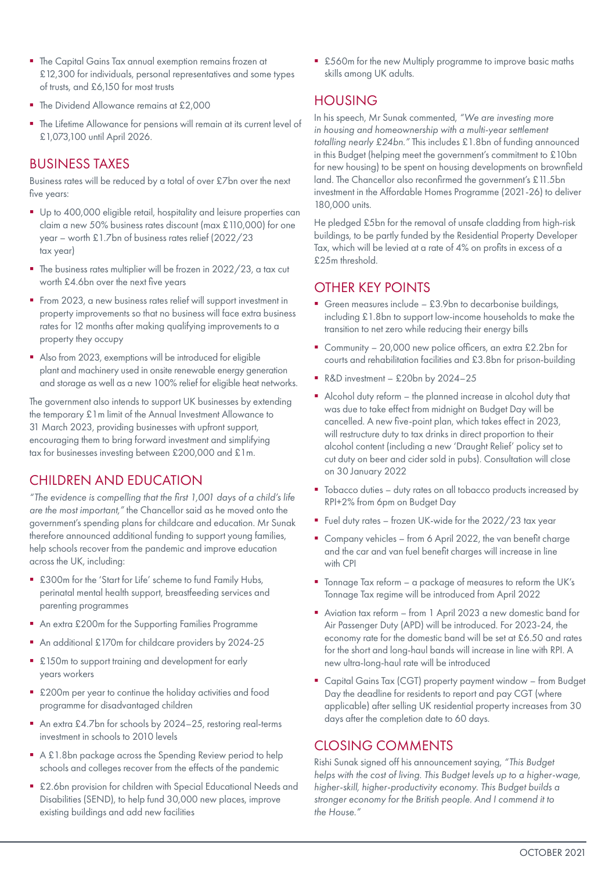- The Capital Gains Tax annual exemption remains frozen at £12,300 for individuals, personal representatives and some types of trusts, and £6,150 for most trusts
- The Dividend Allowance remains at £2,000
- The Lifetime Allowance for pensions will remain at its current level of £1,073,100 until April 2026.

### BUSINESS TAXES

Business rates will be reduced by a total of over £7bn over the next five years:

- Up to 400,000 eligible retail, hospitality and leisure properties can claim a new 50% business rates discount (max £110,000) for one year – worth £1.7bn of business rates relief (2022/23 tax year)
- The business rates multiplier will be frozen in 2022/23, a tax cut worth £4.6bn over the next five years
- From 2023, a new business rates relief will support investment in property improvements so that no business will face extra business rates for 12 months after making qualifying improvements to a property they occupy
- Also from 2023, exemptions will be introduced for eligible plant and machinery used in onsite renewable energy generation and storage as well as a new 100% relief for eligible heat networks.

The government also intends to support UK businesses by extending the temporary £1m limit of the Annual Investment Allowance to 31 March 2023, providing businesses with upfront support, encouraging them to bring forward investment and simplifying tax for businesses investing between £200,000 and £1m.

# CHILDREN AND EDUCATION

*"The evidence is compelling that the first 1,001 days of a child's life are the most important,"* the Chancellor said as he moved onto the government's spending plans for childcare and education. Mr Sunak therefore announced additional funding to support young families, help schools recover from the pandemic and improve education across the UK, including:

- £300m for the 'Start for Life' scheme to fund Family Hubs, perinatal mental health support, breastfeeding services and parenting programmes
- An extra £200m for the Supporting Families Programme
- An additional £170m for childcare providers by 2024-25
- £150m to support training and development for early years workers
- £200m per year to continue the holiday activities and food programme for disadvantaged children
- An extra £4.7bn for schools by 2024-25, restoring real-terms investment in schools to 2010 levels
- A £1.8bn package across the Spending Review period to help schools and colleges recover from the effects of the pandemic
- £2.6bn provision for children with Special Educational Needs and Disabilities (SEND), to help fund 30,000 new places, improve existing buildings and add new facilities

■ £560m for the new Multiply programme to improve basic maths skills among UK adults.

# HOUSING

In his speech, Mr Sunak commented, *"We are investing more in housing and homeownership with a multi-year settlement totalling nearly £24bn."* This includes £1.8bn of funding announced in this Budget (helping meet the government's commitment to £10bn for new housing) to be spent on housing developments on brownfield land. The Chancellor also reconfirmed the government's £11.5bn investment in the Affordable Homes Programme (2021-26) to deliver 180,000 units.

He pledged £5bn for the removal of unsafe cladding from high-risk buildings, to be partly funded by the Residential Property Developer Tax, which will be levied at a rate of 4% on profits in excess of a £25m threshold.

# OTHER KEY POINTS

- Green measures include £3.9bn to decarbonise buildings, including £1.8bn to support low-income households to make the transition to net zero while reducing their energy bills
- Community 20,000 new police officers, an extra £2.2bn for courts and rehabilitation facilities and £3.8bn for prison-building
- R&D investment £20bn by 2024-25
- Alcohol duty reform the planned increase in alcohol duty that was due to take effect from midnight on Budget Day will be cancelled. A new five-point plan, which takes effect in 2023, will restructure duty to tax drinks in direct proportion to their alcohol content (including a new 'Draught Relief' policy set to cut duty on beer and cider sold in pubs). Consultation will close on 30 January 2022
- $\blacksquare$  Tobacco duties duty rates on all tobacco products increased by RPI+2% from 6pm on Budget Day
- Fuel duty rates frozen UK-wide for the 2022/23 tax year
- Company vehicles from 6 April 2022, the van benefit charge and the car and van fuel benefit charges will increase in line with CPI
- Tonnage Tax reform a package of measures to reform the UK's Tonnage Tax regime will be introduced from April 2022
- Aviation tax reform from 1 April 2023 a new domestic band for Air Passenger Duty (APD) will be introduced. For 2023-24, the economy rate for the domestic band will be set at £6.50 and rates for the short and long-haul bands will increase in line with RPI. A new ultra-long-haul rate will be introduced
- Capital Gains Tax (CGT) property payment window from Budget Day the deadline for residents to report and pay CGT (where applicable) after selling UK residential property increases from 30 days after the completion date to 60 days.

# CLOSING COMMENTS

Rishi Sunak signed off his announcement saying, *"This Budget helps with the cost of living. This Budget levels up to a higher-wage, higher-skill, higher-productivity economy. This Budget builds a stronger economy for the British people. And I commend it to the House."*